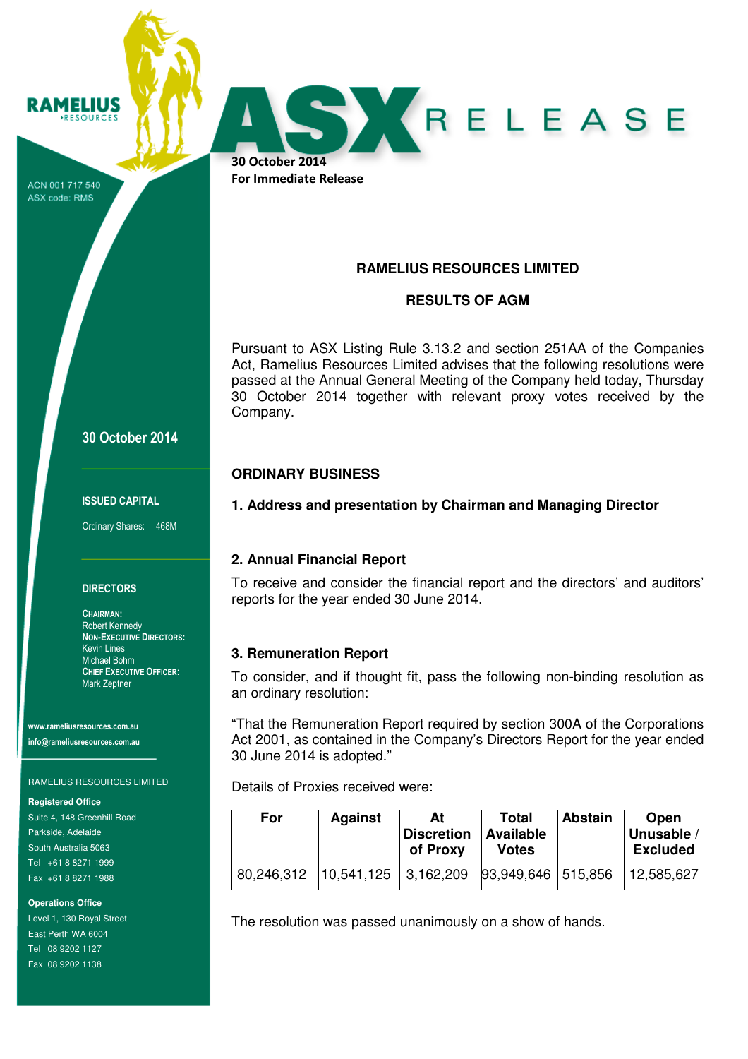ACN 001 717 540 ASX code: RMS

**RAMELIUS RESOURCES** 

# 30 October 2014

#### ISSUED CAPITAL

Ordinary Shares: 468M

### **DIRECTORS**

CHAIRMAN: Robert Kennedy NON-EXECUTIVE DIRECTORS: Kevin Lines Michael Bohm CHIEF EXECUTIVE OFFICER: Mark Zeptner

www.rameliusresources.com.au info@rameliusresources.com.au

### RAMELIUS RESOURCES LIMITED

**Registered Office** 

Suite 4, 148 Greenhill Road Parkside, Adelaide South Australia 5063 Tel +61 8 8271 1999 Fax +61 8 8271 1988

**Operations Office** 

Level 1, 130 Royal Street East Perth WA 6004 Tel 08 9202 1127 Fax 08 9202 1138

# **RAMELIUS RESOURCES LIMITED**

RELEASE

### **RESULTS OF AGM**

Pursuant to ASX Listing Rule 3.13.2 and section 251AA of the Companies Act, Ramelius Resources Limited advises that the following resolutions were passed at the Annual General Meeting of the Company held today, Thursday 30 October 2014 together with relevant proxy votes received by the Company.

## **ORDINARY BUSINESS**

30 October 2014 For Immediate Release

**1. Address and presentation by Chairman and Managing Director** 

## **2. Annual Financial Report**

To receive and consider the financial report and the directors' and auditors' reports for the year ended 30 June 2014.

## **3. Remuneration Report**

To consider, and if thought fit, pass the following non-binding resolution as an ordinary resolution:

"That the Remuneration Report required by section 300A of the Corporations Act 2001, as contained in the Company's Directors Report for the year ended 30 June 2014 is adopted."

Details of Proxies received were:

| For        | <b>Against</b> | At<br><b>Discretion</b><br>of Proxy | Total<br><b>Available</b><br><b>Votes</b> | <b>Abstain</b> | Open<br>Unusable<br><b>Excluded</b> |
|------------|----------------|-------------------------------------|-------------------------------------------|----------------|-------------------------------------|
| 80,246,312 | 10,541,125     | 3,162,209                           | 93,949,646   515,856                      |                | 12,585,627                          |

The resolution was passed unanimously on a show of hands.